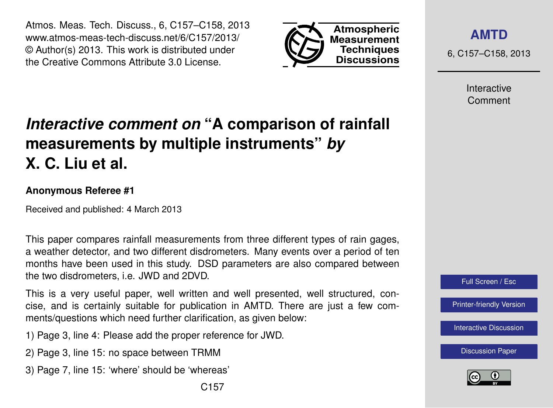Atmos. Meas. Tech. Discuss., 6, C157–C158, 2013 www.atmos-meas-tech-discuss.net/6/C157/2013/ © Author(s) 2013. This work is distributed under the Creative Commons Attribute 3.0 License.



**[AMTD](http://www.atmos-meas-tech-discuss.net)**

6, C157–C158, 2013

Interactive Comment

## *Interactive comment on* **"A comparison of rainfall measurements by multiple instruments"** *by* **X. C. Liu et al.**

## **Anonymous Referee #1**

Received and published: 4 March 2013

This paper compares rainfall measurements from three different types of rain gages, a weather detector, and two different disdrometers. Many events over a period of ten months have been used in this study. DSD parameters are also compared between the two disdrometers, i.e. JWD and 2DVD.

This is a very useful paper, well written and well presented, well structured, concise, and is certainly suitable for publication in AMTD. There are just a few comments/questions which need further clarification, as given below:

- 1) Page 3, line 4: Please add the proper reference for JWD.
- 2) Page 3, line 15: no space between TRMM
- 3) Page 7, line 15: 'where' should be 'whereas'



[Printer-friendly Version](http://www.atmos-meas-tech-discuss.net/6/C157/2013/amtd-6-C157-2013-print.pdf)

[Interactive Discussion](http://www.atmos-meas-tech-discuss.net/6/519/2013/amtd-6-519-2013-discussion.html)

[Discussion Paper](http://www.atmos-meas-tech-discuss.net/6/519/2013/amtd-6-519-2013.pdf)